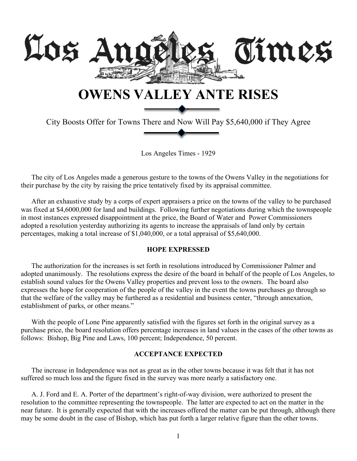

City Boosts Offer for Towns There and Now Will Pay \$5,640,000 if They Agree

Los Angeles Times - 1929

The city of Los Angeles made a generous gesture to the towns of the Owens Valley in the negotiations for their purchase by the city by raising the price tentatively fixed by its appraisal committee.

After an exhaustive study by a corps of expert appraisers a price on the towns of the valley to be purchased was fixed at \$4,6000,000 for land and buildings. Following further negotiations during which the townspeople in most instances expressed disappointment at the price, the Board of Water and Power Commissioners adopted a resolution yesterday authorizing its agents to increase the appraisals of land only by certain percentages, making a total increase of \$1,040,000, or a total appraisal of \$5,640,000.

## **HOPE EXPRESSED**

The authorization for the increases is set forth in resolutions introduced by Commissioner Palmer and adopted unanimously. The resolutions express the desire of the board in behalf of the people of Los Angeles, to establish sound values for the Owens Valley properties and prevent loss to the owners. The board also expresses the hope for cooperation of the people of the valley in the event the towns purchases go through so that the welfare of the valley may be furthered as a residential and business center, "through annexation, establishment of parks, or other means."

With the people of Lone Pine apparently satisfied with the figures set forth in the original survey as a purchase price, the board resolution offers percentage increases in land values in the cases of the other towns as follows: Bishop, Big Pine and Laws, 100 percent; Independence, 50 percent.

## **ACCEPTANCE EXPECTED**

The increase in Independence was not as great as in the other towns because it was felt that it has not suffered so much loss and the figure fixed in the survey was more nearly a satisfactory one.

A. J. Ford and E. A. Porter of the department's right-of-way division, were authorized to present the resolution to the committee representing the townspeople. The latter are expected to act on the matter in the near future. It is generally expected that with the increases offered the matter can be put through, although there may be some doubt in the case of Bishop, which has put forth a larger relative figure than the other towns.